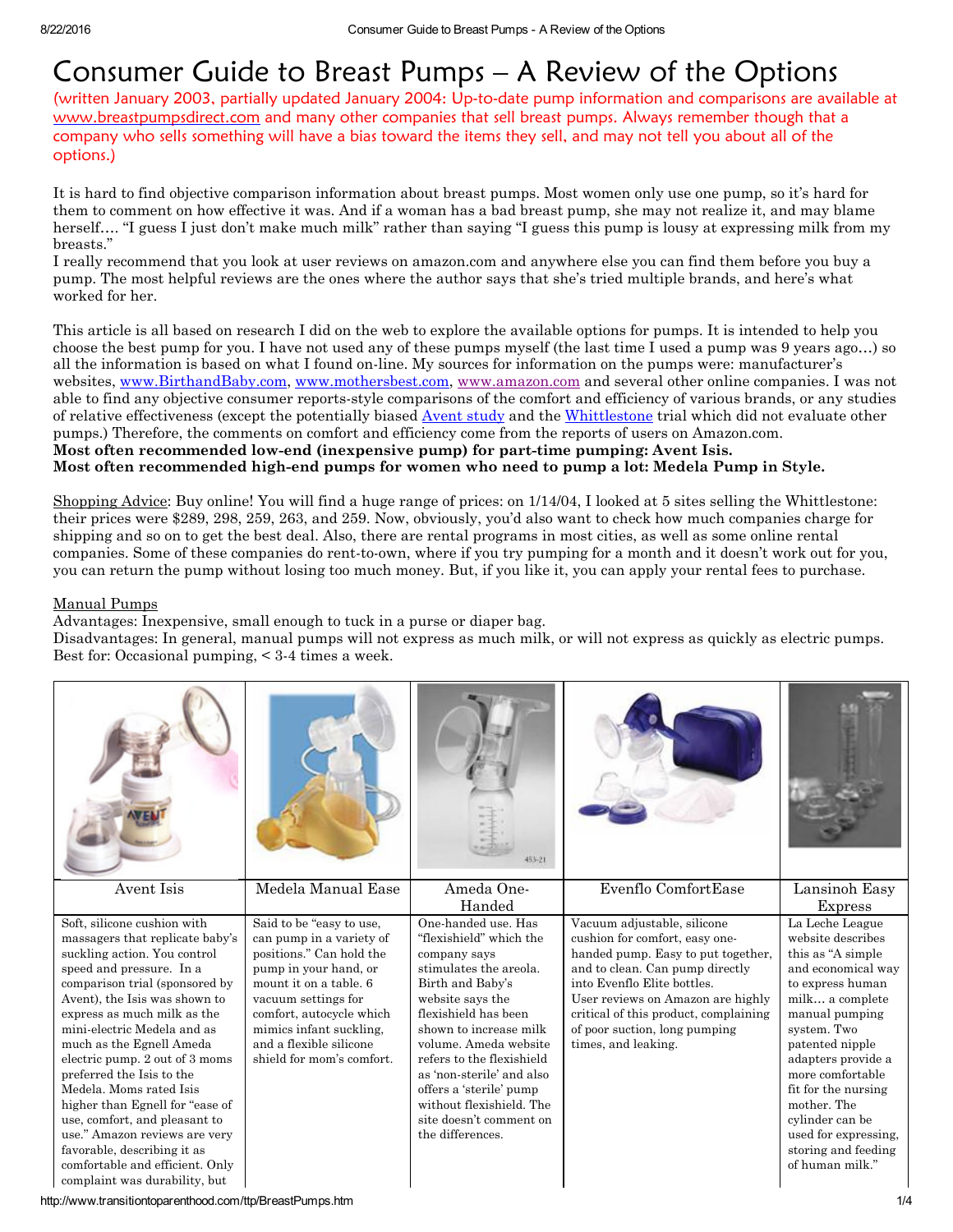# Consumer Guide to Breast Pumps – A Review of the Options

(written January 2003, partially updated January 2004: Up-to-date pump information and comparisons are available at [www.breastpumpsdirect.com](http://www.breastpumpsdirect.com/) and many other companies that sell breast pumps. Always remember though that a company who sells something will have a bias toward the items they sell, and may not tell you about all of the options.)

It is hard to find objective comparison information about breast pumps. Most women only use one pump, so it's hard for them to comment on how effective it was. And if a woman has a bad breast pump, she may not realize it, and may blame herself…. "I guess I just don't make much milk" rather than saying "I guess this pump is lousy at expressing milk from my breasts."

I really recommend that you look at user reviews on amazon.com and anywhere else you can find them before you buy a pump. The most helpful reviews are the ones where the author says that she's tried multiple brands, and here's what worked for her.

This article is all based on research I did on the web to explore the available options for pumps. It is intended to help you choose the best pump for you. I have not used any of these pumps myself (the last time I used a pump was 9 years ago…) so all the information is based on what I found on-line. My sources for information on the pumps were: manufacturer's websites, [www.BirthandBaby.com](http://www.birthandbaby.com/), [www.mothersbest.com,](http://www.mothersbest.com/) [www.amazon.com](http://www.amazon.com/) and several other online companies. I was not able to find any objective consumer reports-style comparisons of the comfort and efficiency of various brands, or any studies of relative effectiveness (except the potentially biased [Avent](http://www.aventamerica.com/learningcenter/learning_studies.asp) study and the [Whittlestone](http://www.whittlestone.com/clinicaltrials.cfm) trial which did not evaluate other pumps.) Therefore, the comments on comfort and efficiency come from the reports of users on Amazon.com. Most often recommended low-end (inexpensive pump) for part-time pumping: Avent Isis. Most often recommended highend pumps for women who need to pump a lot: Medela Pump in Style.

Shopping Advice: Buy online! You will find a huge range of prices: on 1/14/04, I looked at 5 sites selling the Whittlestone: their prices were \$289, 298, 259, 263, and 259. Now, obviously, you'd also want to check how much companies charge for shipping and so on to get the best deal. Also, there are rental programs in most cities, as well as some online rental companies. Some of these companies do rent-to-own, where if you try pumping for a month and it doesn't work out for you, you can return the pump without losing too much money. But, if you like it, you can apply your rental fees to purchase.

#### Manual Pumps

Advantages: Inexpensive, small enough to tuck in a purse or diaper bag.

Disadvantages: In general, manual pumps will not express as much milk, or will not express as quickly as electric pumps. Best for: Occasional pumping,  $\leq$  3-4 times a week.

|                                                                                                                                                                                                                                                                                                                                                                                                                                                                                                                                                                                            |                                                                                                                                                                                                                                                                           | 453-21                                                                                                                                                                                                                                                                                                                                                                      |                                                                                                                                                                                                                                                                                                             |                                                                                                                                                                                                                                                                                                                                                 |
|--------------------------------------------------------------------------------------------------------------------------------------------------------------------------------------------------------------------------------------------------------------------------------------------------------------------------------------------------------------------------------------------------------------------------------------------------------------------------------------------------------------------------------------------------------------------------------------------|---------------------------------------------------------------------------------------------------------------------------------------------------------------------------------------------------------------------------------------------------------------------------|-----------------------------------------------------------------------------------------------------------------------------------------------------------------------------------------------------------------------------------------------------------------------------------------------------------------------------------------------------------------------------|-------------------------------------------------------------------------------------------------------------------------------------------------------------------------------------------------------------------------------------------------------------------------------------------------------------|-------------------------------------------------------------------------------------------------------------------------------------------------------------------------------------------------------------------------------------------------------------------------------------------------------------------------------------------------|
| Avent Isis                                                                                                                                                                                                                                                                                                                                                                                                                                                                                                                                                                                 | Medela Manual Ease                                                                                                                                                                                                                                                        | Ameda One-<br>Handed                                                                                                                                                                                                                                                                                                                                                        | Evenflo ComfortEase                                                                                                                                                                                                                                                                                         | Lansinoh Easy<br><b>Express</b>                                                                                                                                                                                                                                                                                                                 |
| Soft, silicone cushion with<br>massagers that replicate baby's<br>suckling action. You control<br>speed and pressure. In a<br>comparison trial (sponsored by<br>Avent), the Isis was shown to<br>express as much milk as the<br>mini-electric Medela and as<br>much as the Egnell Ameda<br>electric pump. 2 out of 3 moms<br>preferred the Isis to the<br>Medela, Moms rated Isis<br>higher than Egnell for "ease of"<br>use, comfort, and pleasant to<br>use." Amazon reviews are very<br>favorable, describing it as<br>comfortable and efficient. Only<br>complaint was durability, but | Said to be "easy to use,<br>can pump in a variety of<br>positions." Can hold the<br>pump in your hand, or<br>mount it on a table. 6<br>vacuum settings for<br>comfort, autocycle which<br>mimics infant suckling,<br>and a flexible silicone<br>shield for mom's comfort. | One-handed use, Has<br>"flexishield" which the<br>company says<br>stimulates the areola.<br>Birth and Baby's<br>website says the<br>flexishield has been<br>shown to increase milk<br>volume. Ameda website<br>refers to the flexishield<br>as 'non-sterile' and also<br>offers a 'sterile' pump<br>without flexishield. The<br>site doesn't comment on<br>the differences. | Vacuum adjustable, silicone<br>cushion for comfort, easy one-<br>handed pump. Easy to put together,<br>and to clean. Can pump directly<br>into Evenflo Elite bottles.<br>User reviews on Amazon are highly<br>critical of this product, complaining<br>of poor suction, long pumping<br>times, and leaking. | La Leche League<br>website describes<br>this as "A simple<br>and economical way<br>to express human<br>milk a complete<br>manual pumping<br>system. Two<br>patented nipple<br>adapters provide a<br>more comfortable<br>fit for the nursing<br>mother. The<br>cylinder can be<br>used for expressing,<br>storing and feeding<br>of human milk." |

http://www.transitiontoparenthood.com/ttp/BreastPumps.htm 1/4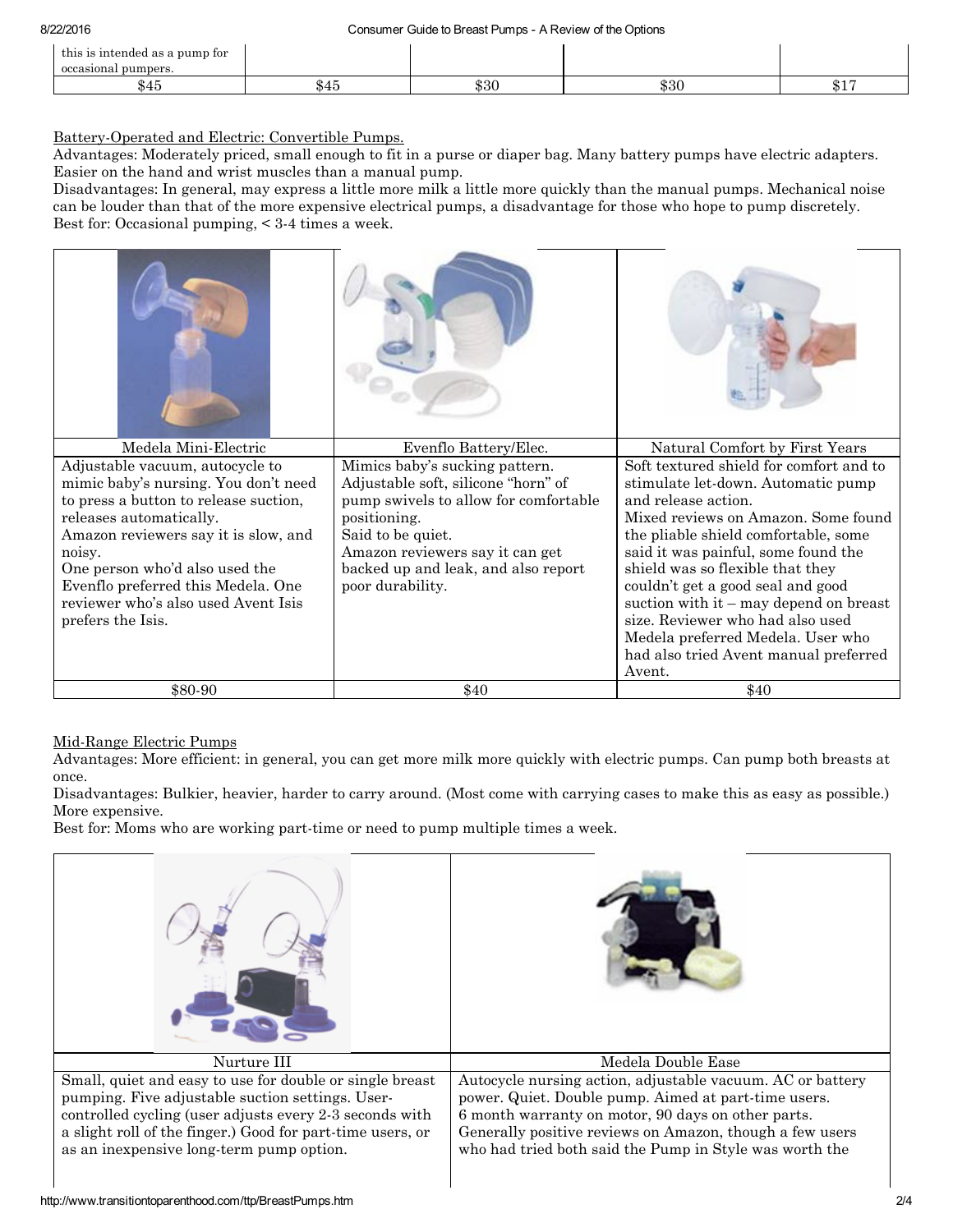| this is intended as a pump for<br>occasional pumpers. |              |      |                                 |
|-------------------------------------------------------|--------------|------|---------------------------------|
| <b>AF</b>                                             | ቀ ዓ በ<br>จงบ | \$30 | $\Delta$ 1 $\Gamma$<br>$\psi$ + |

# Battery-Operated and Electric: Convertible Pumps.

Advantages: Moderately priced, small enough to fit in a purse or diaper bag. Many battery pumps have electric adapters. Easier on the hand and wrist muscles than a manual pump.

Disadvantages: In general, may express a little more milk a little more quickly than the manual pumps. Mechanical noise can be louder than that of the more expensive electrical pumps, a disadvantage for those who hope to pump discretely. Best for: Occasional pumping, < 3-4 times a week.

| Medela Mini-Electric                                                                                                                                                                                                                                                                                                              | Evenflo Battery/Elec.                                                                                                                                                                                                                             | Natural Comfort by First Years                                                                                                                                                                                                                                                                                                                                                                                                                                              |
|-----------------------------------------------------------------------------------------------------------------------------------------------------------------------------------------------------------------------------------------------------------------------------------------------------------------------------------|---------------------------------------------------------------------------------------------------------------------------------------------------------------------------------------------------------------------------------------------------|-----------------------------------------------------------------------------------------------------------------------------------------------------------------------------------------------------------------------------------------------------------------------------------------------------------------------------------------------------------------------------------------------------------------------------------------------------------------------------|
| Adjustable vacuum, autocycle to<br>mimic baby's nursing. You don't need<br>to press a button to release suction,<br>releases automatically.<br>Amazon reviewers say it is slow, and<br>noisy.<br>One person who'd also used the<br>Evenflo preferred this Medela. One<br>reviewer who's also used Avent Isis<br>prefers the Isis. | Mimics baby's sucking pattern.<br>Adjustable soft, silicone "horn" of<br>pump swivels to allow for comfortable<br>positioning.<br>Said to be quiet.<br>Amazon reviewers say it can get<br>backed up and leak, and also report<br>poor durability. | Soft textured shield for comfort and to<br>stimulate let-down. Automatic pump<br>and release action.<br>Mixed reviews on Amazon. Some found<br>the pliable shield comfortable, some<br>said it was painful, some found the<br>shield was so flexible that they<br>couldn't get a good seal and good<br>suction with $it -$ may depend on breast<br>size. Reviewer who had also used<br>Medela preferred Medela. User who<br>had also tried Avent manual preferred<br>Avent. |
| \$80-90                                                                                                                                                                                                                                                                                                                           | \$40                                                                                                                                                                                                                                              | \$40                                                                                                                                                                                                                                                                                                                                                                                                                                                                        |

## Mid-Range Electric Pumps

Advantages: More efficient: in general, you can get more milk more quickly with electric pumps. Can pump both breasts at once.

Disadvantages: Bulkier, heavier, harder to carry around. (Most come with carrying cases to make this as easy as possible.) More expensive.

Best for: Moms who are working part-time or need to pump multiple times a week.

| Nurture III                                                                                                                                                                                                                                                                       | Medela Double Ease                                                                                                                                                                                                                                                                              |  |
|-----------------------------------------------------------------------------------------------------------------------------------------------------------------------------------------------------------------------------------------------------------------------------------|-------------------------------------------------------------------------------------------------------------------------------------------------------------------------------------------------------------------------------------------------------------------------------------------------|--|
| Small, quiet and easy to use for double or single breast<br>pumping. Five adjustable suction settings. User-<br>controlled cycling (user adjusts every 2-3 seconds with<br>a slight roll of the finger.) Good for part-time users, or<br>as an inexpensive long-term pump option. | Autocycle nursing action, adjustable vacuum. AC or battery<br>power. Quiet. Double pump. Aimed at part-time users.<br>6 month warranty on motor, 90 days on other parts.<br>Generally positive reviews on Amazon, though a few users<br>who had tried both said the Pump in Style was worth the |  |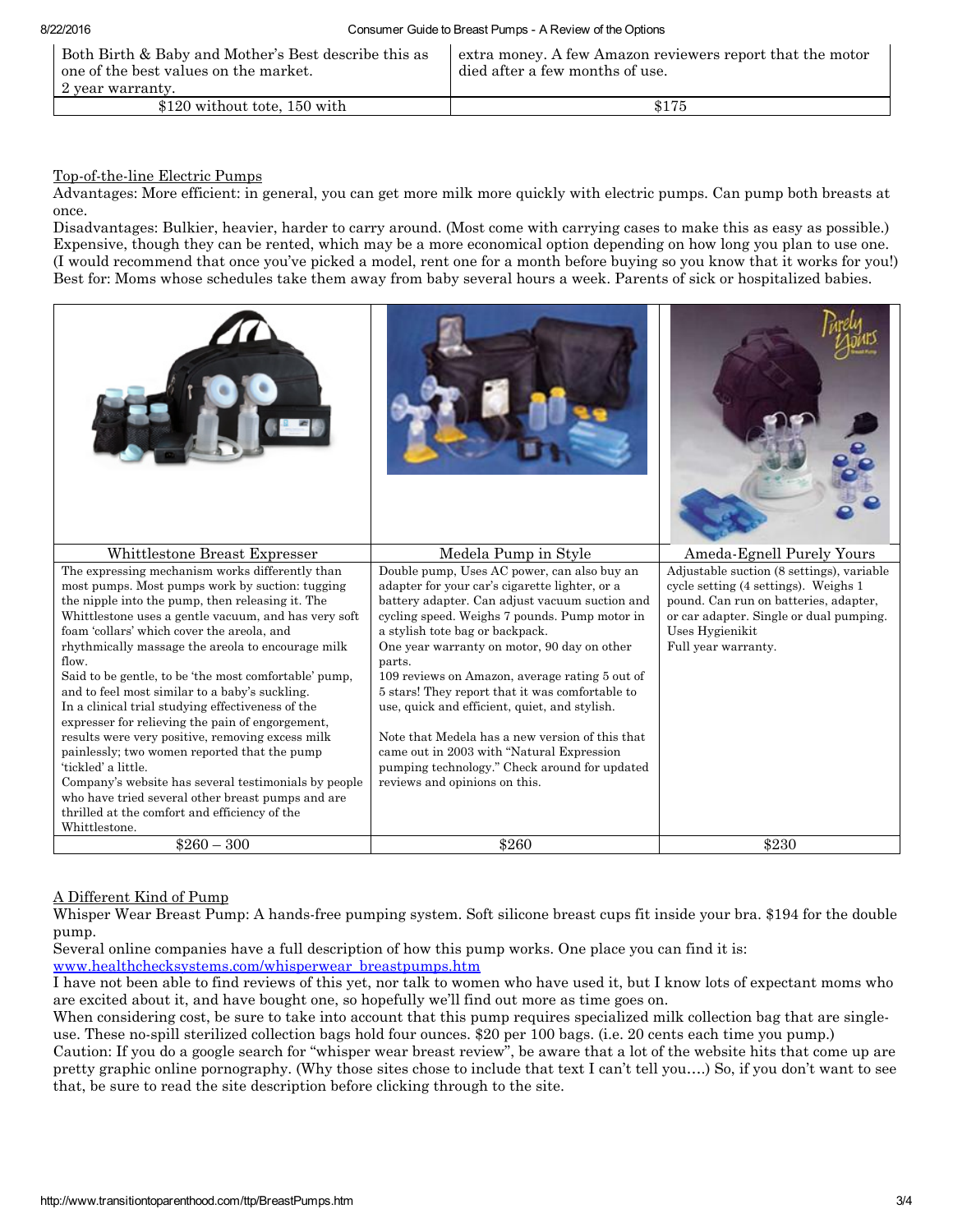| Both Birth & Baby and Mother's Best describe this as<br>one of the best values on the market. | extra money. A few Amazon reviewers report that the motor<br>died after a few months of use. |
|-----------------------------------------------------------------------------------------------|----------------------------------------------------------------------------------------------|
| 2 year warranty.                                                                              |                                                                                              |
| \$120 without tote, 150 with                                                                  | \$175                                                                                        |

## Top-of-the-line Electric Pumps

Advantages: More efficient: in general, you can get more milk more quickly with electric pumps. Can pump both breasts at once.

Disadvantages: Bulkier, heavier, harder to carry around. (Most come with carrying cases to make this as easy as possible.) Expensive, though they can be rented, which may be a more economical option depending on how long you plan to use one. (I would recommend that once you've picked a model, rent one for a month before buying so you know that it works for you!) Best for: Moms whose schedules take them away from baby several hours a week. Parents of sick or hospitalized babies.

| Whittlestone Breast Expresser                                                                                                                                                                                                                                                                                                                                                                                                                                                                                                                                                                                                                                                                                                                                                                                                                            | Medela Pump in Style                                                                                                                                                                                                                                                                                                                                                                                                                                                                                                                                                                                                                 | Ameda-Egnell Purely Yours                                                                                                                                                                                       |
|----------------------------------------------------------------------------------------------------------------------------------------------------------------------------------------------------------------------------------------------------------------------------------------------------------------------------------------------------------------------------------------------------------------------------------------------------------------------------------------------------------------------------------------------------------------------------------------------------------------------------------------------------------------------------------------------------------------------------------------------------------------------------------------------------------------------------------------------------------|--------------------------------------------------------------------------------------------------------------------------------------------------------------------------------------------------------------------------------------------------------------------------------------------------------------------------------------------------------------------------------------------------------------------------------------------------------------------------------------------------------------------------------------------------------------------------------------------------------------------------------------|-----------------------------------------------------------------------------------------------------------------------------------------------------------------------------------------------------------------|
| The expressing mechanism works differently than<br>most pumps. Most pumps work by suction: tugging<br>the nipple into the pump, then releasing it. The<br>Whittlestone uses a gentle vacuum, and has very soft<br>foam 'collars' which cover the areola, and<br>rhythmically massage the areola to encourage milk<br>flow.<br>Said to be gentle, to be 'the most comfortable' pump,<br>and to feel most similar to a baby's suckling.<br>In a clinical trial studying effectiveness of the<br>expresser for relieving the pain of engorgement.<br>results were very positive, removing excess milk<br>painlessly; two women reported that the pump<br>'tickled' a little.<br>Company's website has several testimonials by people<br>who have tried several other breast pumps and are<br>thrilled at the comfort and efficiency of the<br>Whittlestone. | Double pump, Uses AC power, can also buy an<br>adapter for your car's cigarette lighter, or a<br>battery adapter. Can adjust vacuum suction and<br>cycling speed. Weighs 7 pounds. Pump motor in<br>a stylish tote bag or backpack.<br>One year warranty on motor, 90 day on other<br>parts.<br>109 reviews on Amazon, average rating 5 out of<br>5 stars! They report that it was comfortable to<br>use, quick and efficient, quiet, and stylish.<br>Note that Medela has a new version of this that<br>came out in 2003 with "Natural Expression<br>pumping technology." Check around for updated<br>reviews and opinions on this. | Adjustable suction (8 settings), variable<br>cycle setting (4 settings). Weighs 1<br>pound. Can run on batteries, adapter,<br>or car adapter. Single or dual pumping.<br>Uses Hygienikit<br>Full year warranty. |
| $$260 - 300$                                                                                                                                                                                                                                                                                                                                                                                                                                                                                                                                                                                                                                                                                                                                                                                                                                             | \$260                                                                                                                                                                                                                                                                                                                                                                                                                                                                                                                                                                                                                                | \$230                                                                                                                                                                                                           |

#### A Different Kind of Pump

Whisper Wear Breast Pump: A hands-free pumping system. Soft silicone breast cups fit inside your bra. \$194 for the double pump.

Several online companies have a full description of how this pump works. One place you can find it is: [www.healthchecksystems.com/whisperwear\\_breastpumps.htm](http://www.healthchecksystems.com/whisperwear_breastpumps.htm)

I have not been able to find reviews of this yet, nor talk to women who have used it, but I know lots of expectant moms who are excited about it, and have bought one, so hopefully we'll find out more as time goes on.

When considering cost, be sure to take into account that this pump requires specialized milk collection bag that are singleuse. These no-spill sterilized collection bags hold four ounces. \$20 per 100 bags. (i.e. 20 cents each time you pump.)

Caution: If you do a google search for "whisper wear breast review", be aware that a lot of the website hits that come up are pretty graphic online pornography. (Why those sites chose to include that text I can't tell you….) So, if you don't want to see that, be sure to read the site description before clicking through to the site.